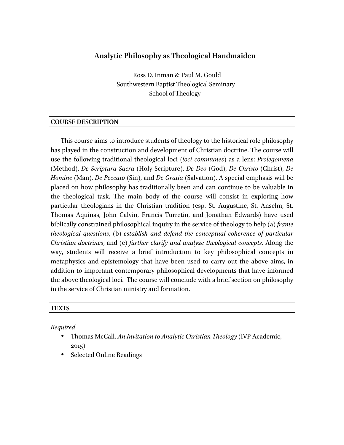# **Analytic Philosophy as Theological Handmaiden**

Ross D. Inman & Paul M. Gould Southwestern Baptist Theological Seminary School of Theology

#### **COURSE DESCRIPTION**

This course aims to introduce students of theology to the historical role philosophy has played in the construction and development of Christian doctrine. The course will use the following traditional theological loci *(loci communes)* as a lens: *Prolegomena* (Method), *De Scriptura Sacra* (Holy Scripture), *De Deo* (God), *De Christo* (Christ), *De Homine* (Man), *De Peccato* (Sin), and *De Gratia* (Salvation). A special emphasis will be placed on how philosophy has traditionally been and can continue to be valuable in the theological task. The main body of the course will consist in exploring how particular theologians in the Christian tradition (esp. St. Augustine, St. Anselm, St. Thomas Aquinas, John Calvin, Francis Turretin, and Jonathan Edwards) have used biblically constrained philosophical inquiry in the service of theology to help (a) *frame theological questions*, (b) *establish and defend the conceptual coherence of particular Christian doctrines*, and (c) *further clarify and analyze theological concepts*. Along the way, students will receive a brief introduction to key philosophical concepts in metaphysics and epistemology that have been used to carry out the above aims, in addition to important contemporary philosophical developments that have informed the above theological loci. The course will conclude with a brief section on philosophy in the service of Christian ministry and formation.

#### **TEXTS**

*Required*

- Thomas McCall. *An Invitation to Analytic Christian Theology* (IVP Academic, 2015)
- Selected Online Readings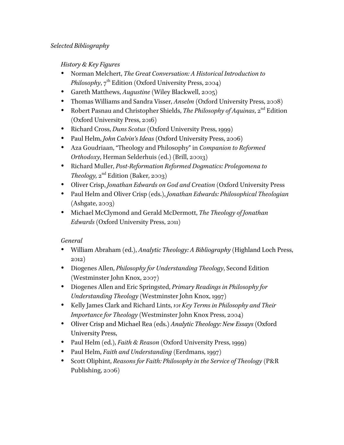*History & Key Figures*

- Norman Melchert, *The Great Conversation: A Historical Introduction to Philosophy*, 7<sup>th</sup> Edition (Oxford University Press, 2004)
- Gareth Matthews, *Augustine* (Wiley Blackwell, 2005)
- Thomas Williams and Sandra Visser, *Anselm* (Oxford University Press, 2008)
- Robert Pasnau and Christopher Shields, *The Philosophy of Aquinas*, 2<sup>nd</sup> Edition (Oxford University Press, 2016)
- Richard Cross, *Duns Scotus* (Oxford University Press, 1999)
- Paul Helm, *John Calvin's Ideas* (Oxford University Press, 2006)
- Aza Goudriaan, "Theology and Philosophy" in *Companion to Reformed Orthodoxy*, Herman Selderhuis (ed.) (Brill, 20013)
- Richard Muller, *Post-Reformation Reformed Dogmatics: Prolegomena to Theology,*  $2^{nd}$  Edition (Baker, 2003)
- Oliver Crisp, *Jonathan Edwards on God and Creation* (Oxford University Press
- Paul Helm and Oliver Crisp (eds.), *Jonathan Edwards: Philosophical Theologian* (Ashgate, 2003)
- Michael McClymond and Gerald McDermott, *The Theology of Jonathan Edwards* (Oxford University Press, 2011)

*General*

- William Abraham (ed.), *Analytic Theology: A Bibliography* (Highland Loch Press, 2012)
- Diogenes Allen, *Philosophy for Understanding Theology*, Second Edition (Westminster John Knox, 2007)
- Diogenes Allen and Eric Springsted, *Primary Readings in Philosophy for Understanding Theology* (Westminster John Knox, 1997)
- Kelly James Clark and Richard Lints, *101 Key Terms in Philosophy and Their Importance for Theology* (Westminster John Knox Press, 2004)
- Oliver Crisp and Michael Rea (eds.) *Analytic Theology: New Essays* (Oxford University Press,
- Paul Helm (ed.), *Faith & Reason* (Oxford University Press, 1999)
- Paul Helm, *Faith and Understanding* (Eerdmans, 1997)
- Scott Oliphint, *Reasons for Faith: Philosophy in the Service of Theology* (P&R Publishing, 2006)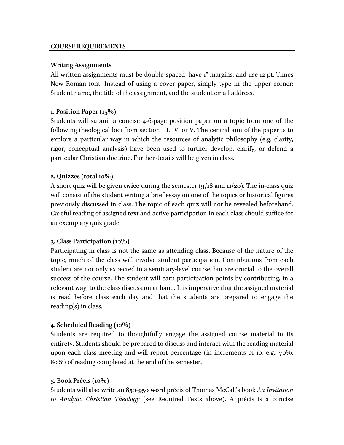### **COURSE REQUIREMENTS**

### **Writing Assignments**

All written assignments must be double-spaced, have 1" margins, and use 12 pt. Times New Roman font. Instead of using a cover paper, simply type in the upper corner: Student name, the title of the assignment, and the student email address.

## **1. Position Paper (15%)**

Students will submit a concise 4-6-page position paper on a topic from one of the following theological loci from section III, IV, or V. The central aim of the paper is to explore a particular way in which the resources of analytic philosophy (e.g. clarity, rigor, conceptual analysis) have been used to further develop, clarify, or defend a particular Christian doctrine. Further details will be given in class.

## **2. Quizzes (total 10%)**

A short quiz will be given **twice** during the semester (**9/18** and **11/20**). The in-class quiz will consist of the student writing a brief essay on one of the topics or historical figures previously discussed in class. The topic of each quiz will not be revealed beforehand. Careful reading of assigned text and active participation in each class should suffice for an exemplary quiz grade.

## **3. Class Participation (10%)**

Participating in class is not the same as attending class. Because of the nature of the topic, much of the class will involve student participation. Contributions from each student are not only expected in a seminary-level course, but are crucial to the overall success of the course. The student will earn participation points by contributing, in a relevant way, to the class discussion at hand. It is imperative that the assigned material is read before class each day and that the students are prepared to engage the reading(s) in class.

## **4. Scheduled Reading (10%)**

Students are required to thoughtfully engage the assigned course material in its entirety. Students should be prepared to discuss and interact with the reading material upon each class meeting and will report percentage (in increments of 10, e.g., 70%, 80%) of reading completed at the end of the semester.

## **5**. **Book Précis (10%)**

Students will also write an **850-950 word** précis of Thomas McCall's book *An Invitation to Analytic Christian Theology* (see Required Texts above). A précis is a concise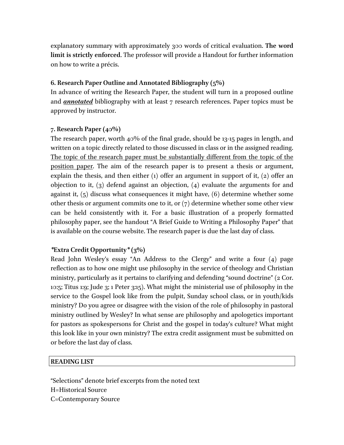explanatory summary with approximately 300 words of critical evaluation. **The word limit is strictly enforced**. The professor will provide a Handout for further information on how to write a précis.

#### **6. Research Paper Outline and Annotated Bibliography (5%)**

In advance of writing the Research Paper, the student will turn in a proposed outline and *annotated* bibliography with at least 7 research references. Paper topics must be approved by instructor.

#### **7. Research Paper (40%)**

The research paper, worth 40% of the final grade, should be 13-15 pages in length, and written on a topic directly related to those discussed in class or in the assigned reading. The topic of the research paper must be substantially different from the topic of the position paper. The aim of the research paper is to present a thesis or argument, explain the thesis, and then either (1) offer an argument in support of it, (2) offer an objection to it, (3) defend against an objection, (4) evaluate the arguments for and against it, (5) discuss what consequences it might have, (6) determine whether some other thesis or argument commits one to it, or  $(7)$  determine whether some other view can be held consistently with it. For a basic illustration of a properly formatted philosophy paper, see the handout "A Brief Guide to Writing a Philosophy Paper" that is available on the course website. The research paper is due the last day of class.

### *\****Extra Credit Opportunity***\** **(3%)**

Read John Wesley's essay "An Address to the Clergy" and write a four (4) page reflection as to how one might use philosophy in the service of theology and Christian ministry, particularly as it pertains to clarifying and defending "sound doctrine" (2 Cor. 10:5; Titus 1:9; Jude 3; 1 Peter 3:15). What might the ministerial use of philosophy in the service to the Gospel look like from the pulpit, Sunday school class, or in youth/kids ministry? Do you agree or disagree with the vision of the role of philosophy in pastoral ministry outlined by Wesley? In what sense are philosophy and apologetics important for pastors as spokespersons for Christ and the gospel in today's culture? What might this look like in your own ministry? The extra credit assignment must be submitted on or before the last day of class.

### **READING LIST**

"Selections" denote brief excerpts from the noted text H=Historical Source C=Contemporary Source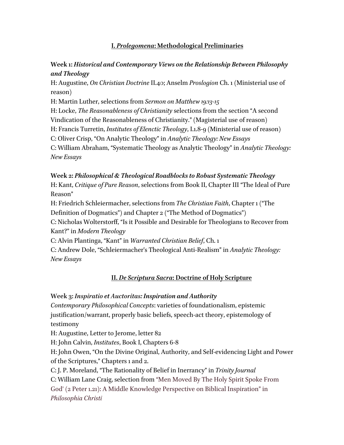### **I.** *Prolegomena***: Methodological Preliminaries**

# **Week 1:** *Historical and Contemporary Views on the Relationship Between Philosophy and Theology*

H: Augustine, *On Christian Doctrine*II.40; Anselm *Proslogion* Ch. 1 (Ministerial use of reason)

H: Martin Luther, selections from *Sermon on Matthew 19:13-15*

H: Locke, *The Reasonableness of Christianity* selections from the section "A second

Vindication of the Reasonableness of Christianity." (Magisterial use of reason)

H: Francis Turretin, *Institutes of Elenctic Theology*, I.1.8-9 (Ministerial use of reason)

C: Oliver Crisp, "On Analytic Theology" in *Analytic Theology: New Essays*

C: William Abraham, "Systematic Theology as Analytic Theology" in *Analytic Theology: New Essays*

**Week 2:** *Philosophical & Theological Roadblocks to Robust Systematic Theology* H: Kant, *Critique of Pure Reason*, selections from Book II, Chapter III "The Ideal of Pure Reason"

H: Friedrich Schleiermacher, selections from *The Christian Faith*, Chapter 1 ("The Definition of Dogmatics") and Chapter 2 ("The Method of Dogmatics")

C: Nicholas Wolterstorff, "Is it Possible and Desirable for Theologians to Recover from Kant?" in *Modern Theology*

C: Alvin Plantinga, "Kant" in *Warranted Christian Belief*, Ch. 1

C: Andrew Dole, "Schleiermacher's Theological Anti-Realism" in *Analytic Theology: New Essays*

## **II.** *De Scriptura Sacra***: Doctrine of Holy Scripture**

**Week 3:** *Inspiratio et Auctoritas: Inspiration and Authority* 

*Contemporary Philosophical Concepts*: varieties of foundationalism, epistemic justification/warrant, properly basic beliefs, speech-act theory, epistemology of testimony

H: Augustine, Letter to Jerome, letter 82

H: John Calvin, *Institutes*, Book I, Chapters 6-8

H: John Owen, "On the Divine Original, Authority, and Self-evidencing Light and Power of the Scriptures," Chapters 1 and 2.

C: J. P. Moreland, "The Rationality of Belief in Inerrancy" in *Trinity Journal*

C: William Lane Craig, selection from "Men Moved By The Holy Spirit Spoke From God' (2 Peter 1.21): A Middle Knowledge Perspective on Biblical Inspiration" in *Philosophia Christi*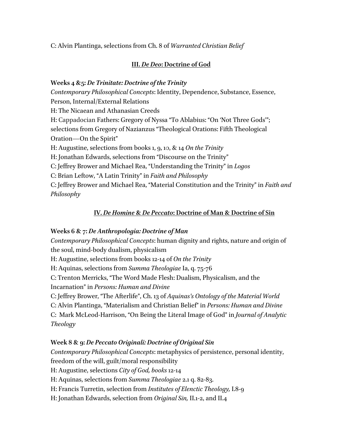C: Alvin Plantinga, selections from Ch. 8 of *Warranted Christian Belief*

## **III.** *De Deo***: Doctrine of God**

### **Weeks 4 &5:** *De Trinitate: Doctrine of the Trinity*

*Contemporary Philosophical Concepts*: Identity, Dependence, Substance, Essence, Person, Internal/External Relations

H: The Nicaean and Athanasian Creeds

H: Cappadocian Fathers: Gregory of Nyssa "To Ablabius: "On 'Not Three Gods'"; selections from Gregory of Nazianzus "Theological Orations: Fifth Theological Oration—On the Spirit"

H: Augustine, selections from books 1, 9, 10, & 14 *On the Trinity*

H: Jonathan Edwards, selections from "Discourse on the Trinity"

C: Jeffrey Brower and Michael Rea, "Understanding the Trinity" in *Logos*

C: Brian Leftow, "A Latin Trinity" in *Faith and Philosophy*

C: Jeffrey Brower and Michael Rea, "Material Constitution and the Trinity" in *Faith and Philosophy*

# **IV.** *De Homine* **&** *De Peccato***: Doctrine of Man & Doctrine of Sin**

## **Weeks 6 & 7:** *De Anthropologia: Doctrine of Man*

*Contemporary Philosophical Concepts*: human dignity and rights, nature and origin of the soul, mind-body dualism, physicalism

H: Augustine, selections from books 12-14 of *On the Trinity*

H: Aquinas, selections from *Summa Theologiae* Ia, q. 75-76

C: Trenton Merricks, "The Word Made Flesh: Dualism, Physicalism, and the

Incarnation" in *Persons: Human and Divine*

C: Jeffrey Brower, "The Afterlife", Ch. 13 of *Aquinas's Ontology of the Material World*

C: Alvin Plantinga, "Materialism and Christian Belief" in *Persons: Human and Divine*

C: Mark McLeod-Harrison, "On Being the Literal Image of God" in *Journal of Analytic Theology*

# **Week 8 & 9:** *De Peccato Originali: Doctrine of Original Sin*

*Contemporary Philosophical Concepts*: metaphysics of persistence, personal identity, freedom of the will, guilt/moral responsibility H: Augustine, selections *City of God, books* 12-14 H: Aquinas, selections from *Summa Theologiae* 2.1 q. 82-83. H: Francis Turretin, selection from *Institutes of Elenctic Theology,* I.8-9 H: Jonathan Edwards, selection from *Original Sin,* II.1-2, and II.4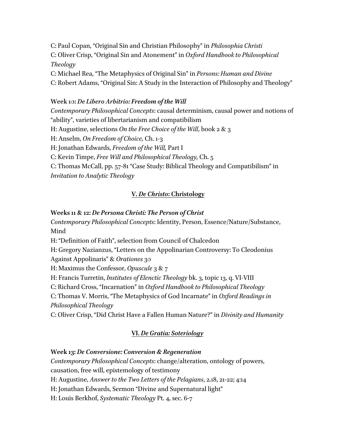C: Paul Copan, "Original Sin and Christian Philosophy" in *Philosophia Christi* C: Oliver Crisp, "Original Sin and Atonement" in *Oxford Handbook to Philosophical Theology*

C: Michael Rea, "The Metaphysics of Original Sin" in *Persons: Human and Divine* C: Robert Adams, "Original Sin: A Study in the Interaction of Philosophy and Theology"

#### **Week 10:** *De Libero Arbitrio: Freedom of the Will*

*Contemporary Philosophical Concepts*: causal determinism, causal power and notions of "ability", varieties of libertarianism and compatibilism

H: Augustine, selections *On the Free Choice of the Will*, book 2 & 3

H: Anselm, *On Freedom of Choice,* Ch. 1-3

H: Jonathan Edwards, *Freedom of the Will,* Part I

C: Kevin Timpe, *Free Will and Philosophical Theology,* Ch. 5

C: Thomas McCall, pp. 57-81 "Case Study: Biblical Theology and Compatibilism" in *Invitation to Analytic Theology*

#### **V.** *De Christo***: Christology**

#### **Weeks 11 & 12:** *De Persona Christi: The Person of Christ*

*Contemporary Philosophical Concepts*: Identity, Person, Essence/Nature/Substance, Mind

H: "Definition of Faith", selection from Council of Chalcedon

H: Gregory Nazianzus, "Letters on the Appolinarian Controversy: To Cleodonius

Against Appolinaris" & *Orationes* 30

H: Maximus the Confessor, *Opuscule* 3 & 7

H: Francis Turretin, *Institutes of Elenctic Theology* bk. 3, topic 13, q. VI-VIII

C: Richard Cross, "Incarnation" in *Oxford Handbook to Philosophical Theology*

C: Thomas V. Morris, "The Metaphysics of God Incarnate" in *Oxford Readings in* 

*Philosophical Theology*

C: Oliver Crisp, "Did Christ Have a Fallen Human Nature?" in *Divinity and Humanity*

#### **VI.** *De Gratia: Soteriology*

#### **Week 13:** *De Conversione: Conversion & Regeneration*

*Contemporary Philosophical Concepts*: change/alteration, ontology of powers,

causation, free will, epistemology of testimony

H: Augustine, *Answer to the Two Letters of the Pelagians*, 2.18, 21-22; 4:14

H: Jonathan Edwards, Sermon "Divine and Supernatural light"

H: Louis Berkhof, *Systematic Theology* Pt. 4, sec. 6-7